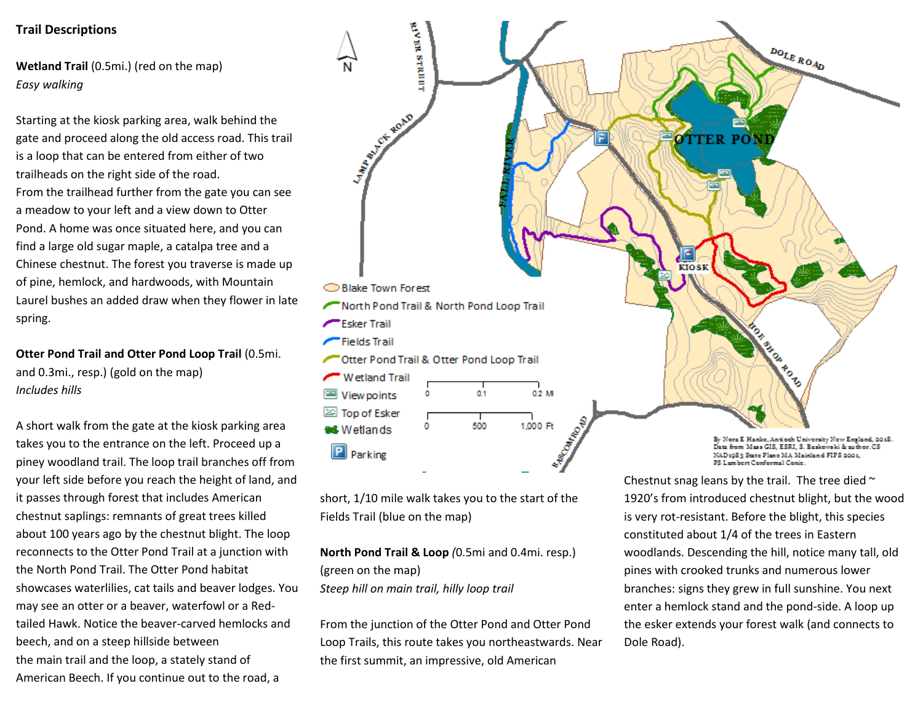## **Trail Descriptions**

**Wetland Trail** (0.5mi.) (red on the map) *Easy walking*

Starting at the kiosk parking area, walk behind the gate and proceed along the old access road. This trail is a loop that can be entered from either of two trailheads on the right side of the road. From the trailhead further from the gate you can see a meadow to your left and a view down to Otter Pond. A home was once situated here, and you can find a large old sugar maple, a catalpa tree and a Chinese chestnut. The forest you traverse is made up of pine, hemlock, and hardwoods, with Mountain Laurel bushes an added draw when they flower in late spring.

**Otter Pond Trail and Otter Pond Loop Trail** (0.5mi. and 0.3mi., resp.) (gold on the map) *Includes hills*

A short walk from the gate at the kiosk parking area takes you to the entrance on the left. Proceed up a piney woodland trail. The loop trail branches off from your left side before you reach the height of land, and it passes through forest that includes American chestnut saplings: remnants of great trees killed about 100 years ago by the chestnut blight. The loop reconnects to the Otter Pond Trail at a junction with the North Pond Trail. The Otter Pond habitat showcases waterlilies, cat tails and beaver lodges. You may see an otter or a beaver, waterfowl or a Redtailed Hawk. Notice the beaver-carved hemlocks and beech, and on a steep hillside between the main trail and the loop, a stately stand of American Beech. If you continue out to the road, a



short, 1/10 mile walk takes you to the start of the Fields Trail (blue on the map)

**North Pond Trail & Loop** *(*0.5mi and 0.4mi. resp.) (green on the map) *Steep hill on main trail, hilly loop trail*

From the junction of the Otter Pond and Otter Pond Loop Trails, this route takes you northeastwards. Near the first summit, an impressive, old American

Chestnut snag leans by the trail. The tree died  $\sim$ 1920's from introduced chestnut blight, but the wood is very rot-resistant. Before the blight, this species constituted about 1/4 of the trees in Eastern woodlands. Descending the hill, notice many tall, old pines with crooked trunks and numerous lower branches: signs they grew in full sunshine. You next enter a hemlock stand and the pond-side. A loop up the esker extends your forest walk (and connects to Dole Road).